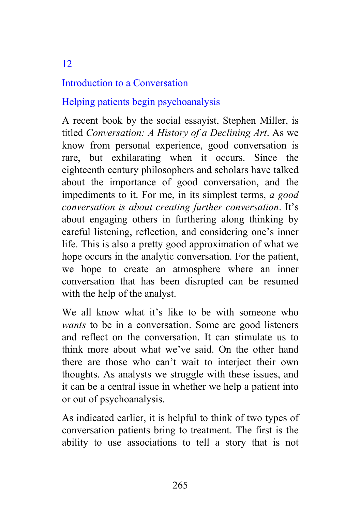## Introduction to a Conversation

12

## Helping patients begin psychoanalysis

A recent book by the social essayist, Stephen Miller, is titled *Conversation: A History of a Declining Art*. As we know from personal experience, good conversation is rare, but exhilarating when it occurs. Since the eighteenth century philosophers and scholars have talked about the importance of good conversation, and the impediments to it. For me, in its simplest terms, *a good conversation is about creating further conversation*. It's about engaging others in furthering along thinking by careful listening, reflection, and considering one's inner life. This is also a pretty good approximation of what we hope occurs in the analytic conversation. For the patient, we hope to create an atmosphere where an inner conversation that has been disrupted can be resumed with the help of the analyst.

We all know what it's like to be with someone who *wants* to be in a conversation. Some are good listeners and reflect on the conversation. It can stimulate us to think more about what we've said. On the other hand there are those who can't wait to interject their own thoughts. As analysts we struggle with these issues, and it can be a central issue in whether we help a patient into or out of psychoanalysis.

As indicated earlier, it is helpful to think of two types of conversation patients bring to treatment. The first is the ability to use associations to tell a story that is not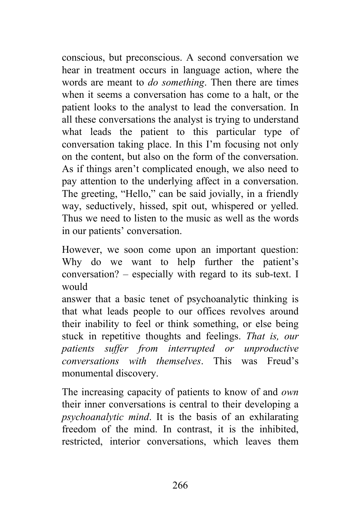conscious, but preconscious. A second conversation we hear in treatment occurs in language action, where the words are meant to *do something*. Then there are times when it seems a conversation has come to a halt, or the patient looks to the analyst to lead the conversation. In all these conversations the analyst is trying to understand what leads the patient to this particular type of conversation taking place. In this I'm focusing not only on the content, but also on the form of the conversation. As if things aren't complicated enough, we also need to pay attention to the underlying affect in a conversation. The greeting, "Hello," can be said jovially, in a friendly way, seductively, hissed, spit out, whispered or yelled. Thus we need to listen to the music as well as the words in our patients' conversation.

However, we soon come upon an important question: Why do we want to help further the patient's conversation? – especially with regard to its sub-text. I would

answer that a basic tenet of psychoanalytic thinking is that what leads people to our offices revolves around their inability to feel or think something, or else being stuck in repetitive thoughts and feelings. *That is, our patients suffer from interrupted or unproductive conversations with themselves*. This was Freud's monumental discovery.

The increasing capacity of patients to know of and *own* their inner conversations is central to their developing a *psychoanalytic mind*. It is the basis of an exhilarating freedom of the mind. In contrast, it is the inhibited, restricted, interior conversations, which leaves them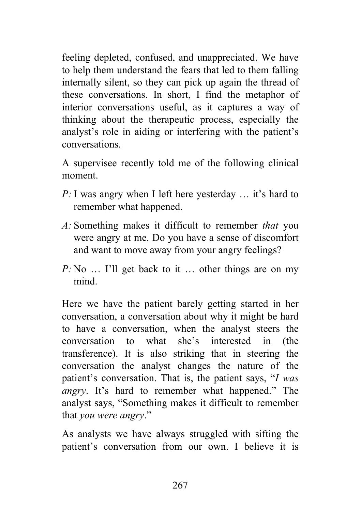feeling depleted, confused, and unappreciated. We have to help them understand the fears that led to them falling internally silent, so they can pick up again the thread of these conversations. In short, I find the metaphor of interior conversations useful, as it captures a way of thinking about the therapeutic process, especially the analyst's role in aiding or interfering with the patient's conversations.

A supervisee recently told me of the following clinical moment.

- *P*: I was angry when I left here yesterday ... it's hard to remember what happened.
- *A:* Something makes it difficult to remember *that* you were angry at me. Do you have a sense of discomfort and want to move away from your angry feelings?
- *P*: No ... I'll get back to it ... other things are on my mind.

Here we have the patient barely getting started in her conversation, a conversation about why it might be hard to have a conversation, when the analyst steers the conversation to what she's interested in (the transference). It is also striking that in steering the conversation the analyst changes the nature of the patient's conversation. That is, the patient says, "*I was angry*. It's hard to remember what happened." The analyst says, "Something makes it difficult to remember that *you were angry*."

As analysts we have always struggled with sifting the patient's conversation from our own. I believe it is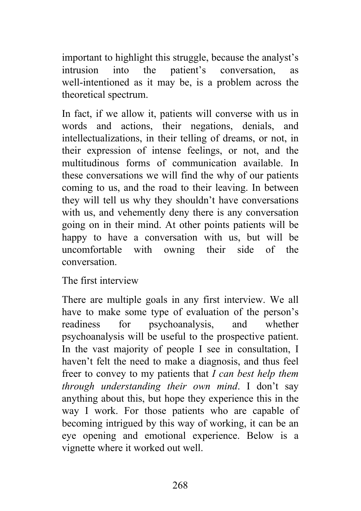important to highlight this struggle, because the analyst's intrusion into the patient's conversation, as well-intentioned as it may be, is a problem across the theoretical spectrum.

In fact, if we allow it, patients will converse with us in words and actions, their negations, denials, and intellectualizations, in their telling of dreams, or not, in their expression of intense feelings, or not, and the multitudinous forms of communication available. In these conversations we will find the why of our patients coming to us, and the road to their leaving. In between they will tell us why they shouldn't have conversations with us, and vehemently deny there is any conversation going on in their mind. At other points patients will be happy to have a conversation with us, but will be uncomfortable with owning their side of the conversation.

The first interview

There are multiple goals in any first interview. We all have to make some type of evaluation of the person's readiness for psychoanalysis, and whether psychoanalysis will be useful to the prospective patient. In the vast majority of people I see in consultation, I haven't felt the need to make a diagnosis, and thus feel freer to convey to my patients that *I can best help them through understanding their own mind*. I don't say anything about this, but hope they experience this in the way I work. For those patients who are capable of becoming intrigued by this way of working, it can be an eye opening and emotional experience. Below is a vignette where it worked out well.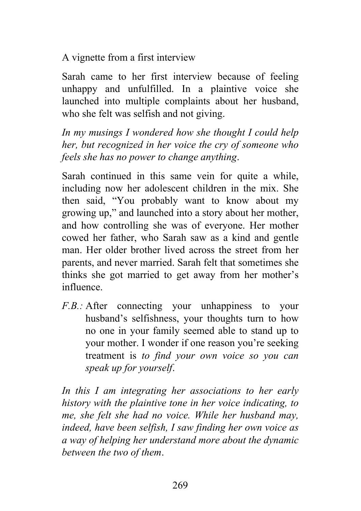A vignette from a first interview

Sarah came to her first interview because of feeling unhappy and unfulfilled. In a plaintive voice she launched into multiple complaints about her husband, who she felt was selfish and not giving.

*In my musings I wondered how she thought I could help her, but recognized in her voice the cry of someone who feels she has no power to change anything*.

Sarah continued in this same vein for quite a while. including now her adolescent children in the mix. She then said, "You probably want to know about my growing up," and launched into a story about her mother, and how controlling she was of everyone. Her mother cowed her father, who Sarah saw as a kind and gentle man. Her older brother lived across the street from her parents, and never married. Sarah felt that sometimes she thinks she got married to get away from her mother's influence.

*F.B.:* After connecting your unhappiness to your husband's selfishness, your thoughts turn to how no one in your family seemed able to stand up to your mother. I wonder if one reason you're seeking treatment is *to find your own voice so you can speak up for yourself*.

*In this I am integrating her associations to her early history with the plaintive tone in her voice indicating, to me, she felt she had no voice. While her husband may, indeed, have been selfish, I saw finding her own voice as a way of helping her understand more about the dynamic between the two of them*.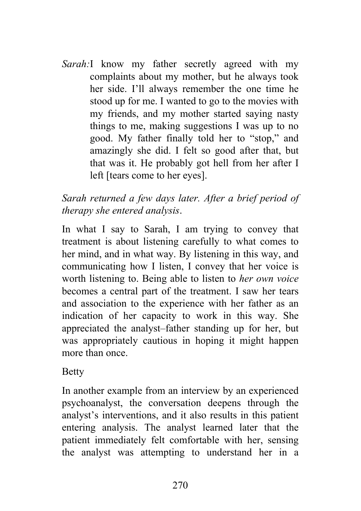*Sarah:*I know my father secretly agreed with my complaints about my mother, but he always took her side. I'll always remember the one time he stood up for me. I wanted to go to the movies with my friends, and my mother started saying nasty things to me, making suggestions I was up to no good. My father finally told her to "stop," and amazingly she did. I felt so good after that, but that was it. He probably got hell from her after I left [tears come to her eyes].

## *Sarah returned a few days later. After a brief period of therapy she entered analysis*.

In what I say to Sarah, I am trying to convey that treatment is about listening carefully to what comes to her mind, and in what way. By listening in this way, and communicating how I listen, I convey that her voice is worth listening to. Being able to listen to *her own voice* becomes a central part of the treatment. I saw her tears and association to the experience with her father as an indication of her capacity to work in this way. She appreciated the analyst–father standing up for her, but was appropriately cautious in hoping it might happen more than once.

Betty

In another example from an interview by an experienced psychoanalyst, the conversation deepens through the analyst's interventions, and it also results in this patient entering analysis. The analyst learned later that the patient immediately felt comfortable with her, sensing the analyst was attempting to understand her in a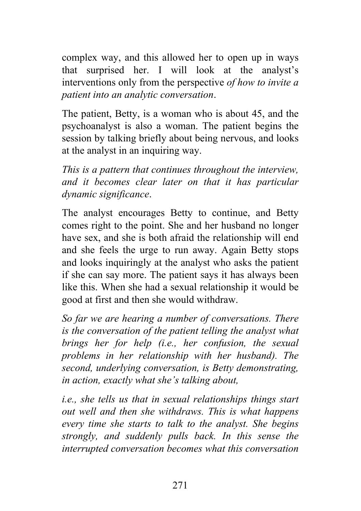complex way, and this allowed her to open up in ways that surprised her. I will look at the analyst's interventions only from the perspective *of how to invite a patient into an analytic conversation*.

The patient, Betty, is a woman who is about 45, and the psychoanalyst is also a woman. The patient begins the session by talking briefly about being nervous, and looks at the analyst in an inquiring way.

*This is a pattern that continues throughout the interview, and it becomes clear later on that it has particular dynamic significance*.

The analyst encourages Betty to continue, and Betty comes right to the point. She and her husband no longer have sex, and she is both afraid the relationship will end and she feels the urge to run away. Again Betty stops and looks inquiringly at the analyst who asks the patient if she can say more. The patient says it has always been like this. When she had a sexual relationship it would be good at first and then she would withdraw.

*So far we are hearing a number of conversations. There is the conversation of the patient telling the analyst what brings her for help (i.e., her confusion, the sexual problems in her relationship with her husband). The second, underlying conversation, is Betty demonstrating, in action, exactly what she's talking about,*

*i.e., she tells us that in sexual relationships things start out well and then she withdraws. This is what happens every time she starts to talk to the analyst. She begins strongly, and suddenly pulls back. In this sense the interrupted conversation becomes what this conversation*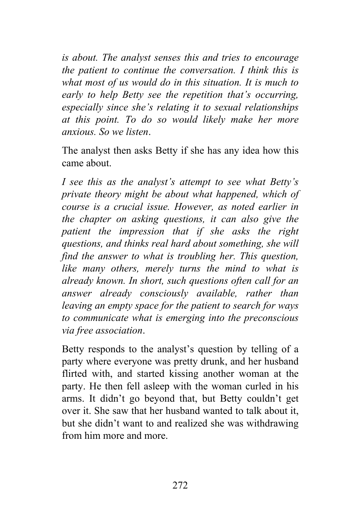*is about. The analyst senses this and tries to encourage the patient to continue the conversation. I think this is what most of us would do in this situation. It is much to early to help Betty see the repetition that's occurring, especially since she's relating it to sexual relationships at this point. To do so would likely make her more anxious. So we listen*.

The analyst then asks Betty if she has any idea how this came about.

*I see this as the analyst's attempt to see what Betty's private theory might be about what happened, which of course is a crucial issue. However, as noted earlier in the chapter on asking questions, it can also give the patient the impression that if she asks the right questions, and thinks real hard about something, she will find the answer to what is troubling her. This question, like many others, merely turns the mind to what is already known. In short, such questions often call for an answer already consciously available, rather than leaving an empty space for the patient to search for ways to communicate what is emerging into the preconscious via free association*.

Betty responds to the analyst's question by telling of a party where everyone was pretty drunk, and her husband flirted with, and started kissing another woman at the party. He then fell asleep with the woman curled in his arms. It didn't go beyond that, but Betty couldn't get over it. She saw that her husband wanted to talk about it, but she didn't want to and realized she was withdrawing from him more and more.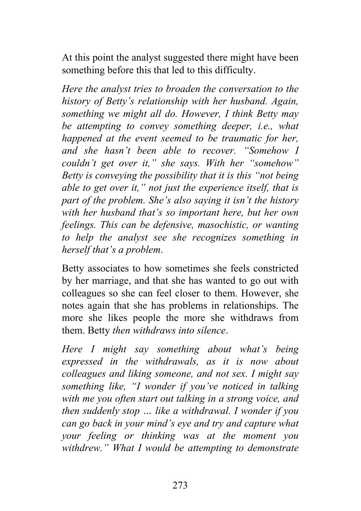At this point the analyst suggested there might have been something before this that led to this difficulty.

*Here the analyst tries to broaden the conversation to the history of Betty's relationship with her husband. Again, something we might all do. However, I think Betty may be attempting to convey something deeper, i.e., what happened at the event seemed to be traumatic for her, and she hasn't been able to recover. "Somehow I couldn't get over it," she says. With her "somehow" Betty is conveying the possibility that it is this "not being able to get over it," not just the experience itself, that is part of the problem. She's also saying it isn't the history with her husband that's so important here, but her own feelings. This can be defensive, masochistic, or wanting to help the analyst see she recognizes something in herself that's a problem*.

Betty associates to how sometimes she feels constricted by her marriage, and that she has wanted to go out with colleagues so she can feel closer to them. However, she notes again that she has problems in relationships. The more she likes people the more she withdraws from them. Betty *then withdraws into silence*.

*Here I might say something about what's being expressed in the withdrawals, as it is now about colleagues and liking someone, and not sex. I might say something like, "I wonder if you've noticed in talking with me you often start out talking in a strong voice, and then suddenly stop … like a withdrawal. I wonder if you can go back in your mind's eye and try and capture what your feeling or thinking was at the moment you withdrew." What I would be attempting to demonstrate*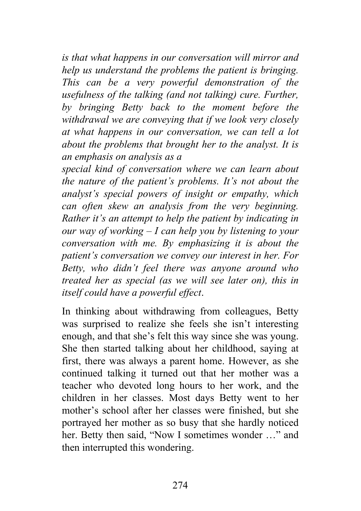*is that what happens in our conversation will mirror and help us understand the problems the patient is bringing. This can be a very powerful demonstration of the usefulness of the talking (and not talking) cure. Further, by bringing Betty back to the moment before the withdrawal we are conveying that if we look very closely at what happens in our conversation, we can tell a lot about the problems that brought her to the analyst. It is an emphasis on analysis as a*

*special kind of conversation where we can learn about the nature of the patient's problems. It's not about the analyst's special powers of insight or empathy, which can often skew an analysis from the very beginning. Rather it's an attempt to help the patient by indicating in our way of working – I can help you by listening to your conversation with me. By emphasizing it is about the patient's conversation we convey our interest in her. For Betty, who didn't feel there was anyone around who treated her as special (as we will see later on), this in itself could have a powerful effect*.

In thinking about withdrawing from colleagues, Betty was surprised to realize she feels she isn't interesting enough, and that she's felt this way since she was young. She then started talking about her childhood, saying at first, there was always a parent home. However, as she continued talking it turned out that her mother was a teacher who devoted long hours to her work, and the children in her classes. Most days Betty went to her mother's school after her classes were finished, but she portrayed her mother as so busy that she hardly noticed her. Betty then said, "Now I sometimes wonder …" and then interrupted this wondering.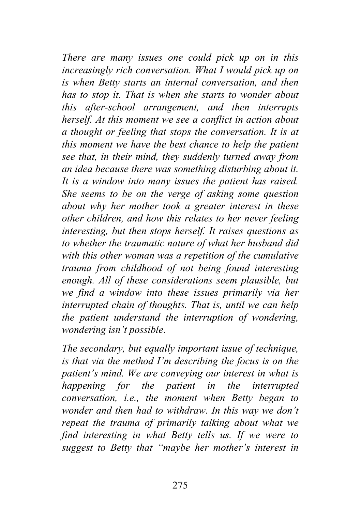*There are many issues one could pick up on in this increasingly rich conversation. What I would pick up on is when Betty starts an internal conversation, and then has to stop it. That is when she starts to wonder about this after-school arrangement, and then interrupts herself. At this moment we see a conflict in action about a thought or feeling that stops the conversation. It is at this moment we have the best chance to help the patient see that, in their mind, they suddenly turned away from an idea because there was something disturbing about it. It is a window into many issues the patient has raised. She seems to be on the verge of asking some question about why her mother took a greater interest in these other children, and how this relates to her never feeling interesting, but then stops herself. It raises questions as to whether the traumatic nature of what her husband did with this other woman was a repetition of the cumulative trauma from childhood of not being found interesting enough. All of these considerations seem plausible, but we find a window into these issues primarily via her interrupted chain of thoughts. That is, until we can help the patient understand the interruption of wondering, wondering isn't possible*.

*The secondary, but equally important issue of technique, is that via the method I'm describing the focus is on the patient's mind. We are conveying our interest in what is happening for the patient in the interrupted conversation, i.e., the moment when Betty began to wonder and then had to withdraw. In this way we don't repeat the trauma of primarily talking about what we find interesting in what Betty tells us. If we were to suggest to Betty that "maybe her mother's interest in*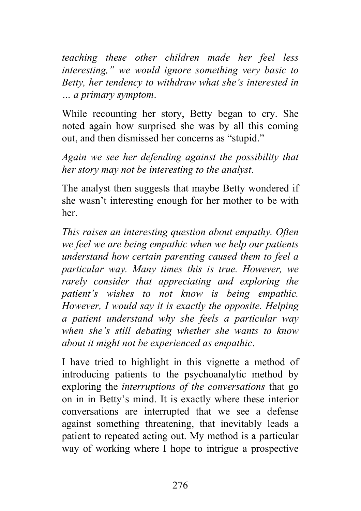*teaching these other children made her feel less interesting," we would ignore something very basic to Betty, her tendency to withdraw what she's interested in … a primary symptom*.

While recounting her story, Betty began to cry. She noted again how surprised she was by all this coming out, and then dismissed her concerns as "stupid."

*Again we see her defending against the possibility that her story may not be interesting to the analyst*.

The analyst then suggests that maybe Betty wondered if she wasn't interesting enough for her mother to be with her.

*This raises an interesting question about empathy. Often we feel we are being empathic when we help our patients understand how certain parenting caused them to feel a particular way. Many times this is true. However, we rarely consider that appreciating and exploring the patient's wishes to not know is being empathic. However, I would say it is exactly the opposite. Helping a patient understand why she feels a particular way when she's still debating whether she wants to know about it might not be experienced as empathic*.

I have tried to highlight in this vignette a method of introducing patients to the psychoanalytic method by exploring the *interruptions of the conversations* that go on in in Betty's mind. It is exactly where these interior conversations are interrupted that we see a defense against something threatening, that inevitably leads a patient to repeated acting out. My method is a particular way of working where I hope to intrigue a prospective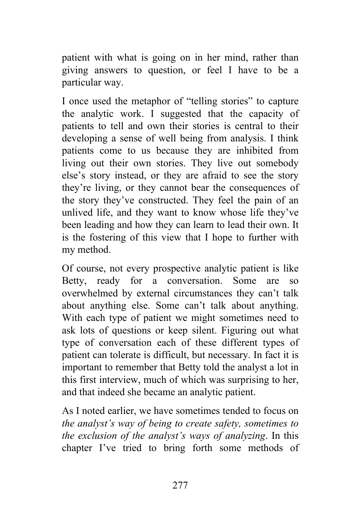patient with what is going on in her mind, rather than giving answers to question, or feel I have to be a particular way.

I once used the metaphor of "telling stories" to capture the analytic work. I suggested that the capacity of patients to tell and own their stories is central to their developing a sense of well being from analysis. I think patients come to us because they are inhibited from living out their own stories. They live out somebody else's story instead, or they are afraid to see the story they're living, or they cannot bear the consequences of the story they've constructed. They feel the pain of an unlived life, and they want to know whose life they've been leading and how they can learn to lead their own. It is the fostering of this view that I hope to further with my method.

Of course, not every prospective analytic patient is like Betty, ready for a conversation. Some are so overwhelmed by external circumstances they can't talk about anything else. Some can't talk about anything. With each type of patient we might sometimes need to ask lots of questions or keep silent. Figuring out what type of conversation each of these different types of patient can tolerate is difficult, but necessary. In fact it is important to remember that Betty told the analyst a lot in this first interview, much of which was surprising to her, and that indeed she became an analytic patient.

As I noted earlier, we have sometimes tended to focus on *the analyst's way of being to create safety, sometimes to the exclusion of the analyst's ways of analyzing*. In this chapter I've tried to bring forth some methods of